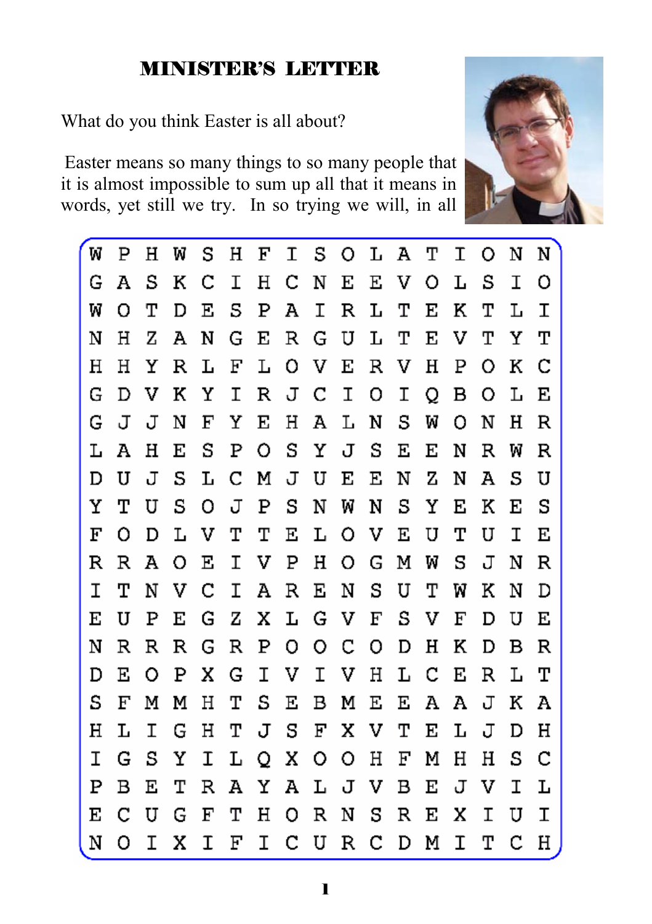#### MINISTER'S LETTER

What do you think Easter is all about?

Easter means so many things to so many people that it is almost impossible to sum up all that it means in words, yet still we try. In so trying we will, in all



| 'W | Ρ | н | W | s | н  | F | Ι            | S.      | $\circ$ | Ŀ  | А | т | Ι | O | N | N |
|----|---|---|---|---|----|---|--------------|---------|---------|----|---|---|---|---|---|---|
| G  | А | S | Κ | С | Ι  | Η | С            | N       | Е       | E. | V | O | L | S | I | O |
| W  | O | т | D | Ε | S  | Ρ | А            | I       | R       | L  | т | Е | Κ | т | L | Ι |
| N  | Н | z | А | N | G  | Е | $\mathbb{R}$ | G       | U       | Ŀ  | т | Е | v | т | Υ | т |
| Η  | н | Υ | R | Ŀ | F  | L | O            | V       | Е       | R  | V | н | Ρ | Ο | Κ | С |
| G  | D | v | к | Υ | I. | R | J            | C       | I       | о  | Ι | Q | в | O | L | Е |
| G  | J | J | N | F | Υ  | Е | Н            | А       | L       | N  | S | W | O | N | н | R |
| L  | А | н | Е | S | Ρ  | O | S            | Y       | J       | S  | Ε | Е | N | R | W | R |
| D  | U | J | s | L | С  | Μ | J            | U       | Е       | Ε  | N | z | N | А | S | U |
| Υ  | т | U | S | O | J  | Ρ | s            | Ν       | W       | N  | S | Υ | Е | К | Е | S |
| F  | Ο | D | L | v | т  | т | Е            | L       | O       | v  | Е | U | т | U | Ι | Е |
| R  | R | А | O | Е | Ι  | v | Ρ            | н       | O       | G  | Μ | W | s | J | Ν | R |
| Ι  | т | N | v | С | Ι  | А | R            | Е       | Ν       | S  | U | т | w | к | N | D |
| Е  | U | Ρ | Е | G | z  | х | L            | G       | V       | F  | S | v | F | D | U | Е |
| Ν  | R | R | R | G | R  | Ρ | o            | O       | С       | o  | D | н | Κ | D | в | R |
| D  | Ε | O | Ρ | х | G  | Ι | V            | I.      | V       | Η  | L | с | Е | R | L | т |
| S  | F | М | М | Н | т  | S | Е            | в       | М       | Ε  | Е | Α | А | J | к | А |
| н  | L | Ι | G | н | т  | J | s            | F       | х       | v  | т | Е | L | J | D | н |
| Ι  | G | S | Υ | I | L  | Q | х            | $\circ$ | O       | Н  | F | Μ | н | н | S | с |
| Ρ  | в | Ε | т | R | А  | Υ | А            | L       | J       | v  | в | Е | J | v | Ι | L |
| Е  | С | U | G | F | т  | Η | О.           | R       | Ν       | s  | R | Е | x | Ι | U | Ι |
| Ν  | Ω | I | Χ | T | F  | I | C.           | U       | R       | C. | D | Μ | T | T | C | Η |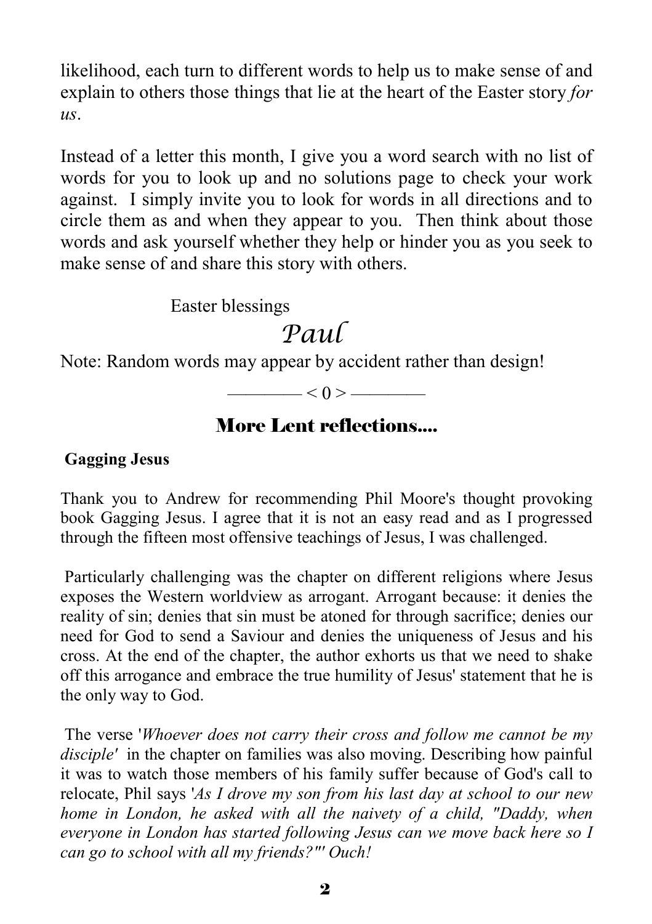likelihood, each turn to different words to help us to make sense of and explain to others those things that lie at the heart of the Easter story *for us*.

Instead of a letter this month, I give you a word search with no list of words for you to look up and no solutions page to check your work against. I simply invite you to look for words in all directions and to circle them as and when they appear to you. Then think about those words and ask yourself whether they help or hinder you as you seek to make sense of and share this story with others.

Easter blessings

# *Paul*

Note: Random words may appear by accident rather than design!

 $\leq 0$  >  $\leq$ 

#### More Lent reflections....

#### **Gagging Jesus**

Thank you to Andrew for recommending Phil Moore's thought provoking book Gagging Jesus. I agree that it is not an easy read and as I progressed through the fifteen most offensive teachings of Jesus, I was challenged.

 Particularly challenging was the chapter on different religions where Jesus exposes the Western worldview as arrogant. Arrogant because: it denies the reality of sin; denies that sin must be atoned for through sacrifice; denies our need for God to send a Saviour and denies the uniqueness of Jesus and his cross. At the end of the chapter, the author exhorts us that we need to shake off this arrogance and embrace the true humility of Jesus' statement that he is the only way to God.

 The verse '*Whoever does not carry their cross and follow me cannot be my disciple'* in the chapter on families was also moving. Describing how painful it was to watch those members of his family suffer because of God's call to relocate, Phil says '*As I drove my son from his last day at school to our new home in London, he asked with all the naivety of a child, "Daddy, when everyone in London has started following Jesus can we move back here so I can go to school with all my friends?"' Ouch!*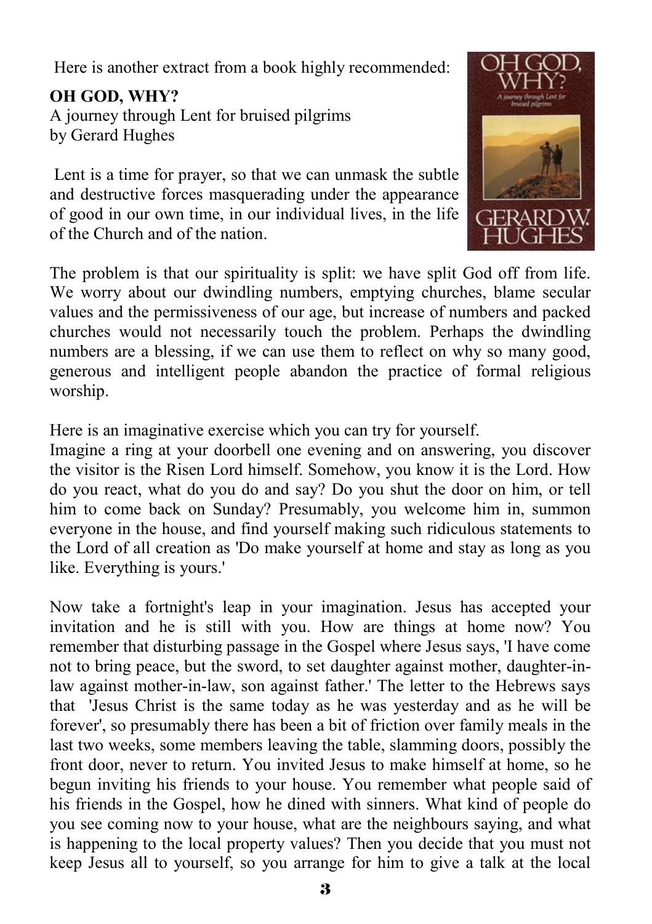Here is another extract from a book highly recommended:

**OH GOD, WHY?**  A journey through Lent for bruised pilgrims by Gerard Hughes

 Lent is a time for prayer, so that we can unmask the subtle and destructive forces masquerading under the appearance of good in our own time, in our individual lives, in the life of the Church and of the nation.



The problem is that our spirituality is split: we have split God off from life. We worry about our dwindling numbers, emptying churches, blame secular values and the permissiveness of our age, but increase of numbers and packed churches would not necessarily touch the problem. Perhaps the dwindling numbers are a blessing, if we can use them to reflect on why so many good, generous and intelligent people abandon the practice of formal religious worship.

Here is an imaginative exercise which you can try for yourself.

Imagine a ring at your doorbell one evening and on answering, you discover the visitor is the Risen Lord himself. Somehow, you know it is the Lord. How do you react, what do you do and say? Do you shut the door on him, or tell him to come back on Sunday? Presumably, you welcome him in, summon everyone in the house, and find yourself making such ridiculous statements to the Lord of all creation as 'Do make yourself at home and stay as long as you like. Everything is yours.'

Now take a fortnight's leap in your imagination. Jesus has accepted your invitation and he is still with you. How are things at home now? You remember that disturbing passage in the Gospel where Jesus says, 'I have come not to bring peace, but the sword, to set daughter against mother, daughter-inlaw against mother-in-law, son against father.' The letter to the Hebrews says that 'Jesus Christ is the same today as he was yesterday and as he will be forever', so presumably there has been a bit of friction over family meals in the last two weeks, some members leaving the table, slamming doors, possibly the front door, never to return. You invited Jesus to make himself at home, so he begun inviting his friends to your house. You remember what people said of his friends in the Gospel, how he dined with sinners. What kind of people do you see coming now to your house, what are the neighbours saying, and what is happening to the local property values? Then you decide that you must not keep Jesus all to yourself, so you arrange for him to give a talk at the local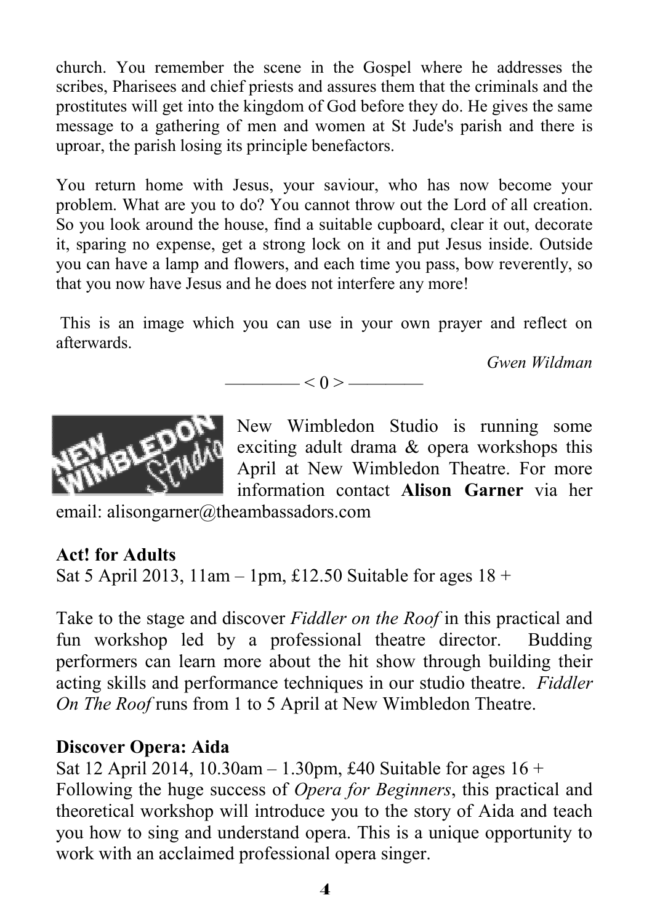church. You remember the scene in the Gospel where he addresses the scribes, Pharisees and chief priests and assures them that the criminals and the prostitutes will get into the kingdom of God before they do. He gives the same message to a gathering of men and women at St Jude's parish and there is uproar, the parish losing its principle benefactors.

You return home with Jesus, your saviour, who has now become your problem. What are you to do? You cannot throw out the Lord of all creation. So you look around the house, find a suitable cupboard, clear it out, decorate it, sparing no expense, get a strong lock on it and put Jesus inside. Outside you can have a lamp and flowers, and each time you pass, bow reverently, so that you now have Jesus and he does not interfere any more!

 This is an image which you can use in your own prayer and reflect on afterwards.

 $\lt 0$  >  $\lt$ 

*Gwen Wildman* 



New Wimbledon Studio is running some exciting adult drama & opera workshops this April at New Wimbledon Theatre. For more information contact **Alison Garner** via her

email: alisongarner@theambassadors.com

#### **Act! for Adults**

Sat 5 April 2013, 11am – 1pm, £12.50 Suitable for ages  $18 +$ 

Take to the stage and discover *Fiddler on the Roof* in this practical and fun workshop led by a professional theatre director. Budding performers can learn more about the hit show through building their acting skills and performance techniques in our studio theatre. *Fiddler On The Roof* runs from 1 to 5 April at New Wimbledon Theatre.

#### **Discover Opera: Aida**

Sat 12 April 2014, 10.30am – 1.30pm, £40 Suitable for ages  $16 +$ Following the huge success of *Opera for Beginners*, this practical and theoretical workshop will introduce you to the story of Aida and teach you how to sing and understand opera. This is a unique opportunity to work with an acclaimed professional opera singer.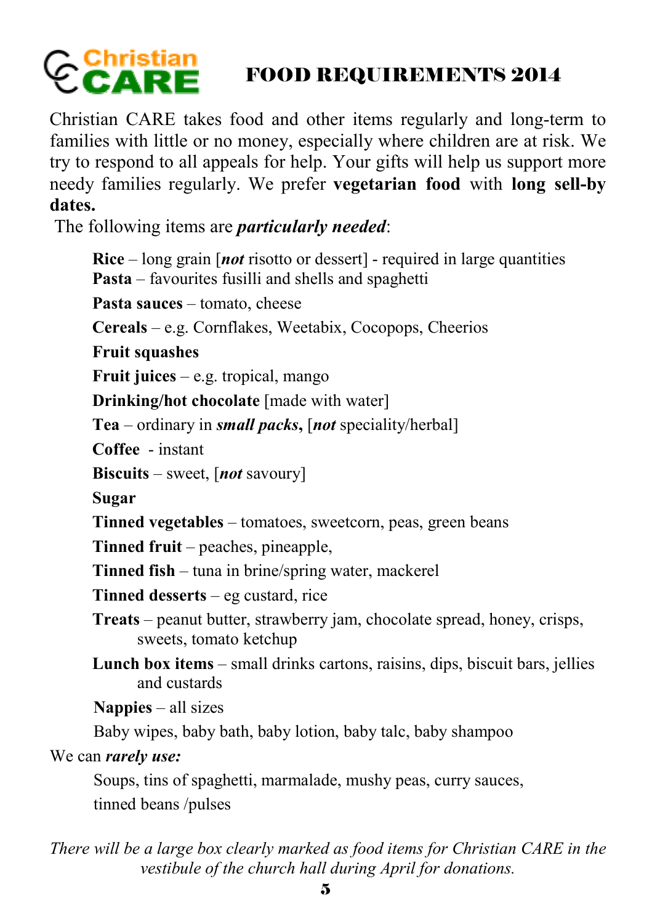# Confistian  $CA$

## FOOD REQUIREMENTS 2014

Christian CARE takes food and other items regularly and long-term to families with little or no money, especially where children are at risk. We try to respond to all appeals for help. Your gifts will help us support more needy families regularly. We prefer **vegetarian food** with **long sell-by dates.** 

The following items are *particularly needed*:

**Rice** – long grain [*not* risotto or dessert] - required in large quantities **Pasta** – favourites fusilli and shells and spaghetti Pasta sauces – tomato, cheese **Cereals** – e.g. Cornflakes, Weetabix, Cocopops, Cheerios **Fruit squashes Fruit juices** – e.g. tropical, mango **Drinking/hot chocolate** [made with water] **Tea** – ordinary in *small packs***,** [*not* speciality/herbal] **Coffee** - instant **Biscuits** – sweet, [*not* savoury] **Sugar Tinned vegetables** – tomatoes, sweetcorn, peas, green beans **Tinned fruit** – peaches, pineapple, **Tinned fish** – tuna in brine/spring water, mackerel **Tinned desserts** – eg custard, rice **Treats** – peanut butter, strawberry jam, chocolate spread, honey, crisps, sweets, tomato ketchup **Lunch box items** – small drinks cartons, raisins, dips, biscuit bars, jellies and custards **Nappies** – all sizes Baby wipes, baby bath, baby lotion, baby talc, baby shampoo We can *rarely use:* Soups, tins of spaghetti, marmalade, mushy peas, curry sauces, tinned beans /pulses

*There will be a large box clearly marked as food items for Christian CARE in the vestibule of the church hall during April for donations.*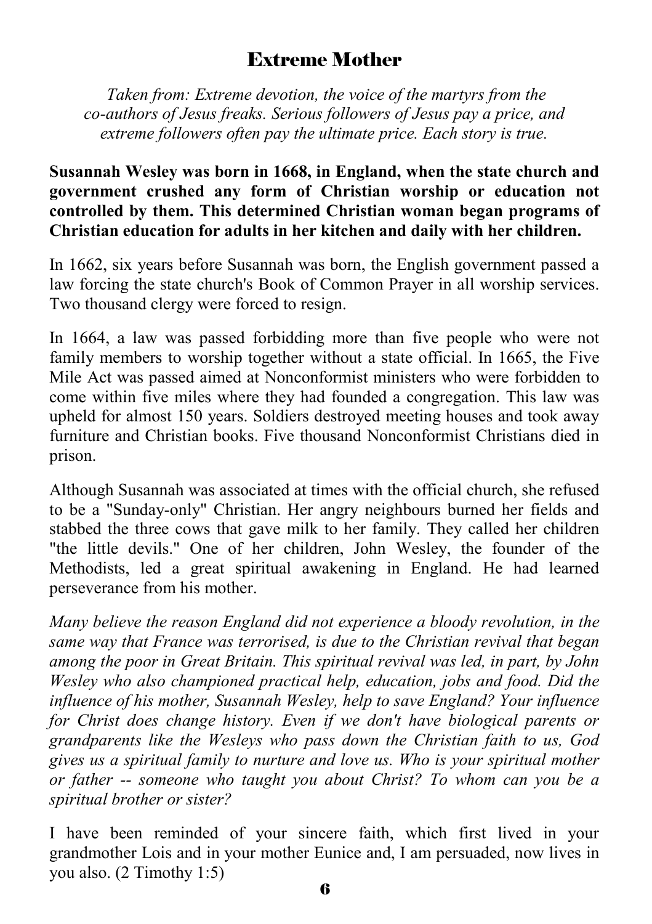#### Extreme Mother

 *Taken from: Extreme devotion, the voice of the martyrs from the co-authors of Jesus freaks. Serious followers of Jesus pay a price, and extreme followers often pay the ultimate price. Each story is true.* 

#### **Susannah Wesley was born in 1668, in England, when the state church and government crushed any form of Christian worship or education not controlled by them. This determined Christian woman began programs of Christian education for adults in her kitchen and daily with her children.**

In 1662, six years before Susannah was born, the English government passed a law forcing the state church's Book of Common Prayer in all worship services. Two thousand clergy were forced to resign.

In 1664, a law was passed forbidding more than five people who were not family members to worship together without a state official. In 1665, the Five Mile Act was passed aimed at Nonconformist ministers who were forbidden to come within five miles where they had founded a congregation. This law was upheld for almost 150 years. Soldiers destroyed meeting houses and took away furniture and Christian books. Five thousand Nonconformist Christians died in prison.

Although Susannah was associated at times with the official church, she refused to be a "Sunday-only" Christian. Her angry neighbours burned her fields and stabbed the three cows that gave milk to her family. They called her children "the little devils." One of her children, John Wesley, the founder of the Methodists, led a great spiritual awakening in England. He had learned perseverance from his mother.

*Many believe the reason England did not experience a bloody revolution, in the same way that France was terrorised, is due to the Christian revival that began among the poor in Great Britain. This spiritual revival was led, in part, by John Wesley who also championed practical help, education, jobs and food. Did the influence of his mother, Susannah Wesley, help to save England? Your influence for Christ does change history. Even if we don't have biological parents or grandparents like the Wesleys who pass down the Christian faith to us, God gives us a spiritual family to nurture and love us. Who is your spiritual mother or father -- someone who taught you about Christ? To whom can you be a spiritual brother or sister?* 

I have been reminded of your sincere faith, which first lived in your grandmother Lois and in your mother Eunice and, I am persuaded, now lives in you also. (2 Timothy 1:5)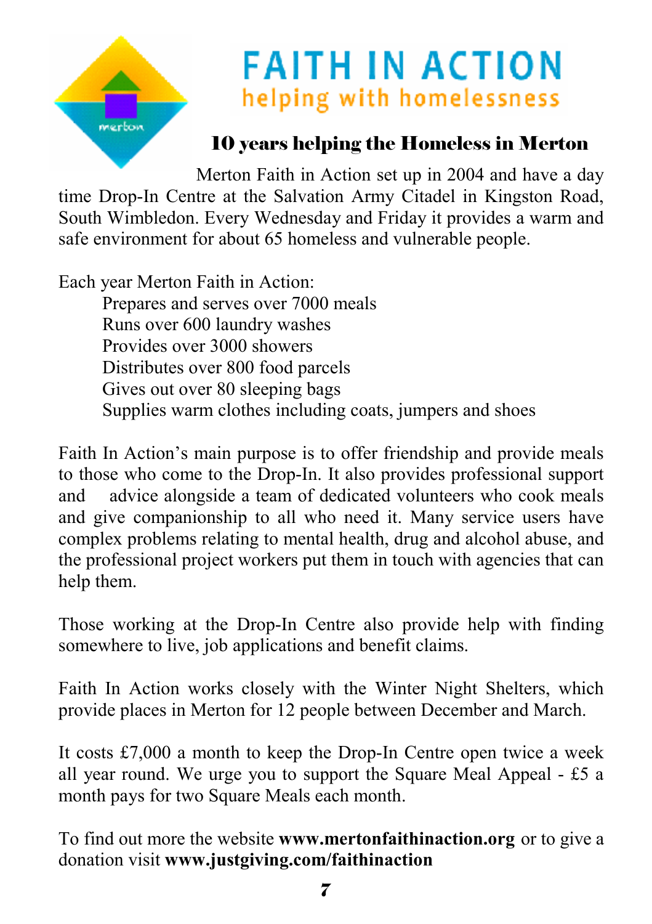

# **FAITH IN ACTION** helping with homelessness

## 10 years helping the Homeless in Merton

Merton Faith in Action set up in 2004 and have a day time Drop-In Centre at the Salvation Army Citadel in Kingston Road, South Wimbledon. Every Wednesday and Friday it provides a warm and safe environment for about 65 homeless and vulnerable people.

Each year Merton Faith in Action: Prepares and serves over 7000 meals Runs over 600 laundry washes Provides over 3000 showers Distributes over 800 food parcels Gives out over 80 sleeping bags Supplies warm clothes including coats, jumpers and shoes

Faith In Action's main purpose is to offer friendship and provide meals to those who come to the Drop-In. It also provides professional support and advice alongside a team of dedicated volunteers who cook meals and give companionship to all who need it. Many service users have complex problems relating to mental health, drug and alcohol abuse, and the professional project workers put them in touch with agencies that can help them.

Those working at the Drop-In Centre also provide help with finding somewhere to live, job applications and benefit claims.

Faith In Action works closely with the Winter Night Shelters, which provide places in Merton for 12 people between December and March.

It costs £7,000 a month to keep the Drop-In Centre open twice a week all year round. We urge you to support the Square Meal Appeal - £5 a month pays for two Square Meals each month.

To find out more the website **www.mertonfaithinaction.org** or to give a donation visit **www.justgiving.com/faithinaction**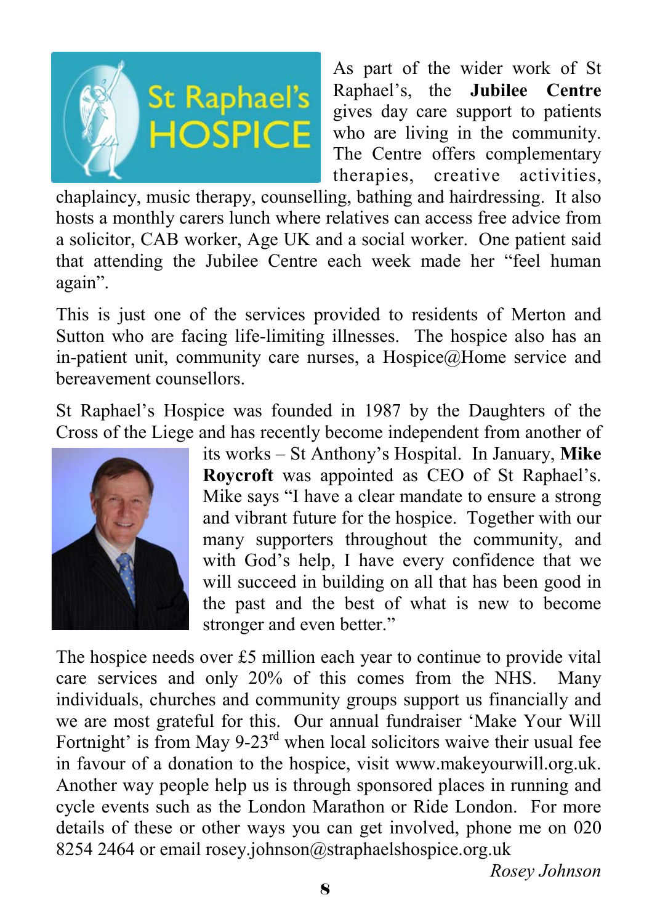

As part of the wider work of St Raphael's, the **Jubilee Centre** gives day care support to patients who are living in the community. The Centre offers complementary therapies, creative activities,

chaplaincy, music therapy, counselling, bathing and hairdressing. It also hosts a monthly carers lunch where relatives can access free advice from a solicitor, CAB worker, Age UK and a social worker. One patient said that attending the Jubilee Centre each week made her "feel human again".

This is just one of the services provided to residents of Merton and Sutton who are facing life-limiting illnesses. The hospice also has an in-patient unit, community care nurses, a Hospice@Home service and bereavement counsellors.

St Raphael's Hospice was founded in 1987 by the Daughters of the Cross of the Liege and has recently become independent from another of



its works – St Anthony's Hospital. In January, **Mike Roycroft** was appointed as CEO of St Raphael's. Mike says "I have a clear mandate to ensure a strong and vibrant future for the hospice. Together with our many supporters throughout the community, and with God's help, I have every confidence that we will succeed in building on all that has been good in the past and the best of what is new to become stronger and even better."

The hospice needs over £5 million each year to continue to provide vital care services and only 20% of this comes from the NHS. Many individuals, churches and community groups support us financially and we are most grateful for this. Our annual fundraiser 'Make Your Will Fortnight' is from May  $9-23$ <sup>rd</sup> when local solicitors waive their usual fee in favour of a donation to the hospice, visit www.makeyourwill.org.uk. Another way people help us is through sponsored places in running and cycle events such as the London Marathon or Ride London. For more details of these or other ways you can get involved, phone me on 020 8254 2464 or email rosey.johnson@straphaelshospice.org.uk

*Rosey Johnson*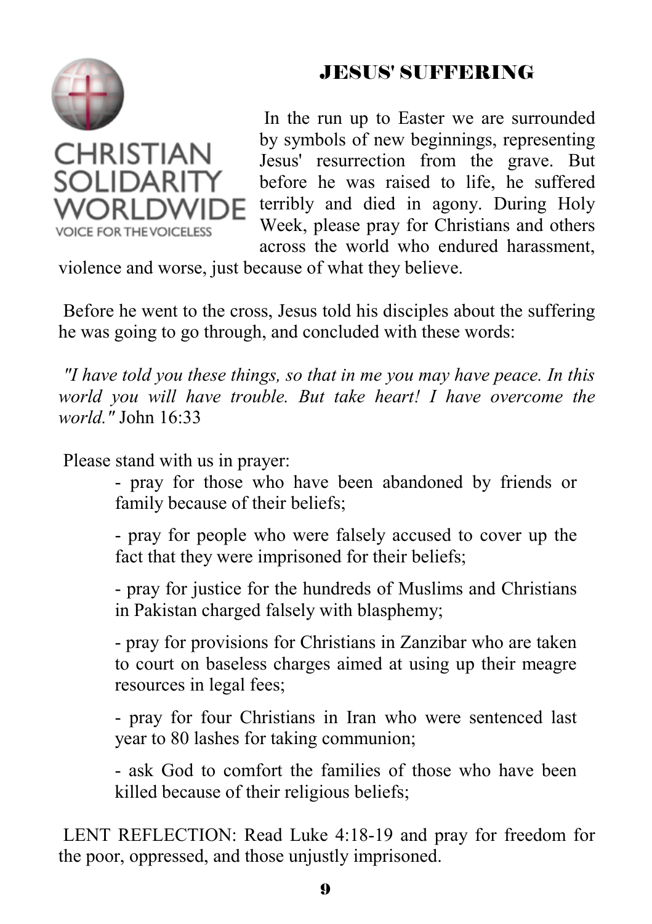

## JESUS' SUFFERING

 In the run up to Easter we are surrounded by symbols of new beginnings, representing Jesus' resurrection from the grave. But before he was raised to life, he suffered terribly and died in agony. During Holy Week, please pray for Christians and others across the world who endured harassment,

violence and worse, just because of what they believe.

 Before he went to the cross, Jesus told his disciples about the suffering he was going to go through, and concluded with these words:

*"I have told you these things, so that in me you may have peace. In this world you will have trouble. But take heart! I have overcome the world."* John 16:33

Please stand with us in prayer:

 - pray for those who have been abandoned by friends or family because of their beliefs;

 - pray for people who were falsely accused to cover up the fact that they were imprisoned for their beliefs;

 - pray for justice for the hundreds of Muslims and Christians in Pakistan charged falsely with blasphemy;

 - pray for provisions for Christians in Zanzibar who are taken to court on baseless charges aimed at using up their meagre resources in legal fees;

 - pray for four Christians in Iran who were sentenced last year to 80 lashes for taking communion;

 - ask God to comfort the families of those who have been killed because of their religious beliefs;

 LENT REFLECTION: Read Luke 4:18-19 and pray for freedom for the poor, oppressed, and those unjustly imprisoned.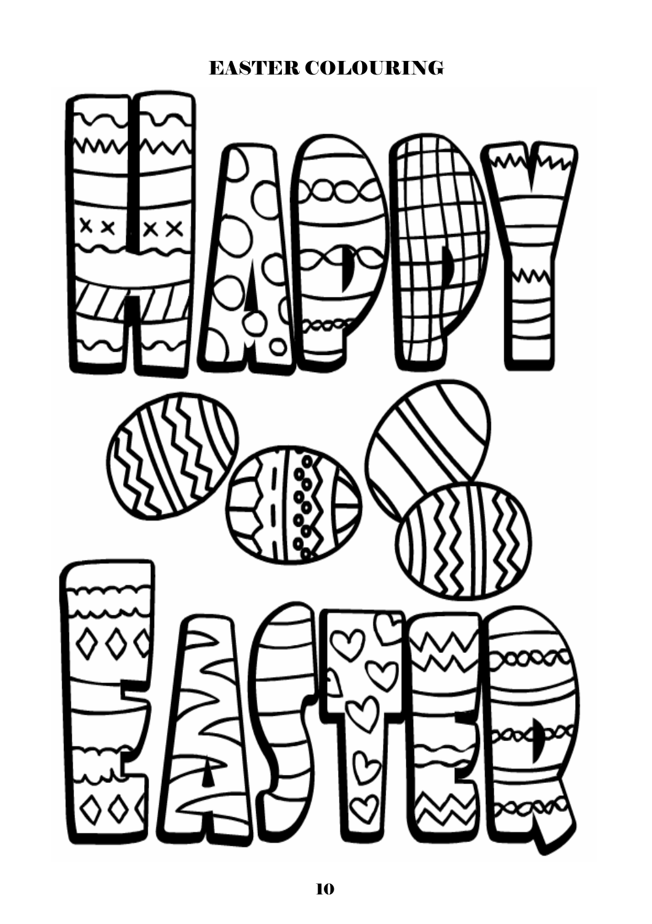#### EASTER COLOURING

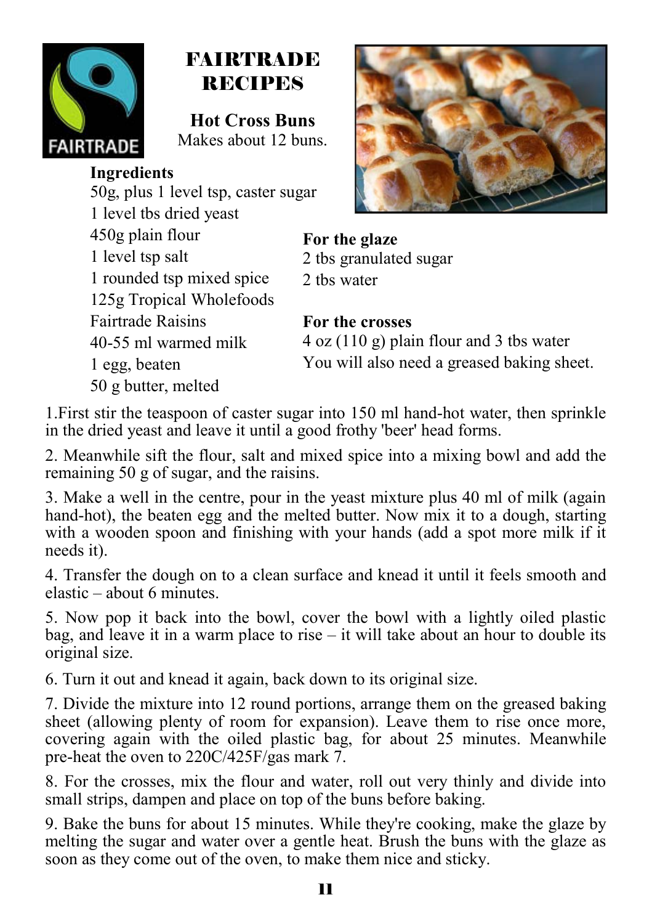

## FAIRTRADE RECIPES

**Hot Cross Buns**  Makes about 12 buns.

#### **Ingredients**

50g, plus 1 level tsp, caster sugar 1 level tbs dried yeast 450g plain flour 1 level tsp salt 1 rounded tsp mixed spice 125g Tropical Wholefoods Fairtrade Raisins 40-55 ml warmed milk 1 egg, beaten 50 g butter, melted



**For the glaze**  2 tbs granulated sugar

2 tbs water

#### **For the crosses**

4 oz (110 g) plain flour and 3 tbs water You will also need a greased baking sheet.

1.First stir the teaspoon of caster sugar into 150 ml hand-hot water, then sprinkle in the dried yeast and leave it until a good frothy 'beer' head forms.

2. Meanwhile sift the flour, salt and mixed spice into a mixing bowl and add the remaining 50 g of sugar, and the raisins.

3. Make a well in the centre, pour in the yeast mixture plus 40 ml of milk (again hand-hot), the beaten egg and the melted butter. Now mix it to a dough, starting with a wooden spoon and finishing with your hands (add a spot more milk if it needs it).

4. Transfer the dough on to a clean surface and knead it until it feels smooth and elastic – about 6 minutes.

5. Now pop it back into the bowl, cover the bowl with a lightly oiled plastic bag, and leave it in a warm place to rise – it will take about an hour to double its original size.

6. Turn it out and knead it again, back down to its original size.

7. Divide the mixture into 12 round portions, arrange them on the greased baking sheet (allowing plenty of room for expansion). Leave them to rise once more, covering again with the oiled plastic bag, for about 25 minutes. Meanwhile pre-heat the oven to 220C/425F/gas mark 7.

8. For the crosses, mix the flour and water, roll out very thinly and divide into small strips, dampen and place on top of the buns before baking.

9. Bake the buns for about 15 minutes. While they're cooking, make the glaze by melting the sugar and water over a gentle heat. Brush the buns with the glaze as soon as they come out of the oven, to make them nice and sticky.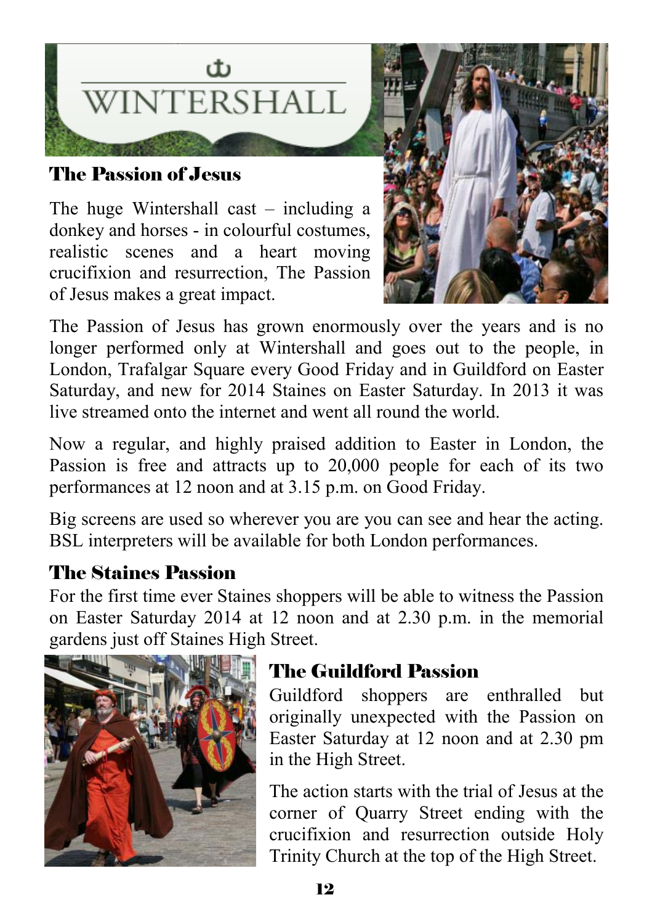

### The Passion of Jesus

The huge Wintershall cast – including a donkey and horses - in colourful costumes, realistic scenes and a heart moving crucifixion and resurrection, The Passion of Jesus makes a great impact.



The Passion of Jesus has grown enormously over the years and is no longer performed only at Wintershall and goes out to the people, in London, Trafalgar Square every Good Friday and in Guildford on Easter Saturday, and new for 2014 Staines on Easter Saturday. In 2013 it was live streamed onto the internet and went all round the world.

Now a regular, and highly praised addition to Easter in London, the Passion is free and attracts up to 20,000 people for each of its two performances at 12 noon and at 3.15 p.m. on Good Friday.

Big screens are used so wherever you are you can see and hear the acting. BSL interpreters will be available for both London performances.

## The Staines Passion

For the first time ever Staines shoppers will be able to witness the Passion on Easter Saturday 2014 at 12 noon and at 2.30 p.m. in the memorial gardens just off Staines High Street.



## The Guildford Passion

Guildford shoppers are enthralled but originally unexpected with the Passion on Easter Saturday at 12 noon and at 2.30 pm in the High Street.

The action starts with the trial of Jesus at the corner of Quarry Street ending with the crucifixion and resurrection outside Holy Trinity Church at the top of the High Street.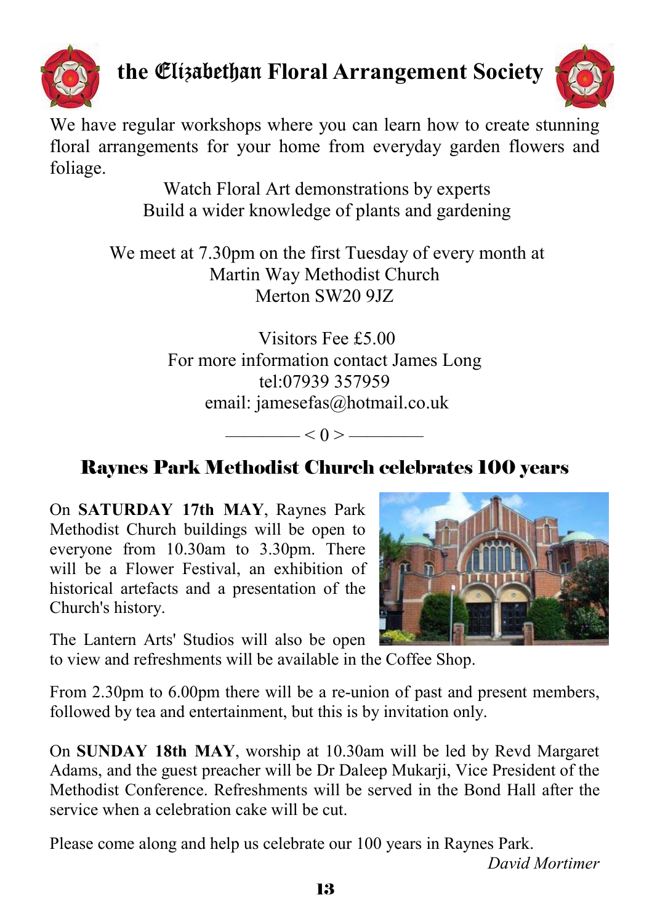

# **the** Elizabethan **Floral Arrangement Society**



We have regular workshops where you can learn how to create stunning floral arrangements for your home from everyday garden flowers and foliage.

> Watch Floral Art demonstrations by experts Build a wider knowledge of plants and gardening

 We meet at 7.30pm on the first Tuesday of every month at Martin Way Methodist Church Merton SW20 9JZ

> Visitors Fee £5.00 For more information contact James Long tel:07939 357959 email: jamesefas@hotmail.co.uk

> > $- < 0 > -$

## Raynes Park Methodist Church celebrates 100 years

On **SATURDAY 17th MAY**, Raynes Park Methodist Church buildings will be open to everyone from 10.30am to 3.30pm. There will be a Flower Festival, an exhibition of historical artefacts and a presentation of the Church's history.



The Lantern Arts' Studios will also be open

to view and refreshments will be available in the Coffee Shop.

From 2.30pm to 6.00pm there will be a re-union of past and present members, followed by tea and entertainment, but this is by invitation only.

On **SUNDAY 18th MAY**, worship at 10.30am will be led by Revd Margaret Adams, and the guest preacher will be Dr Daleep Mukarji, Vice President of the Methodist Conference. Refreshments will be served in the Bond Hall after the service when a celebration cake will be cut.

Please come along and help us celebrate our 100 years in Raynes Park.

*David Mortimer*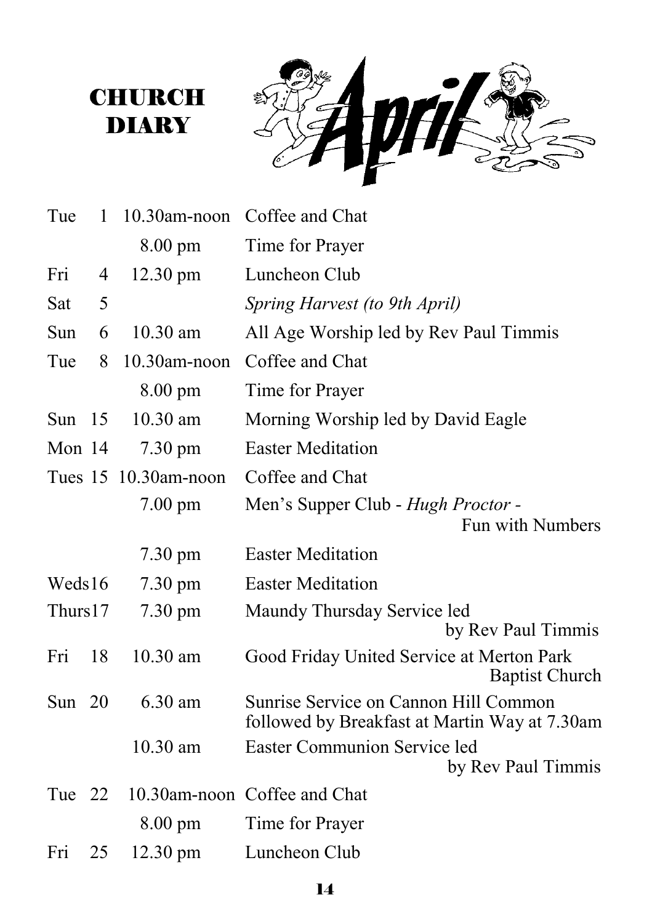# **CHURCH DIARY**



| Tue      | 1  | 10.30am-noon         | Coffee and Chat                                                                        |  |  |  |  |  |  |  |
|----------|----|----------------------|----------------------------------------------------------------------------------------|--|--|--|--|--|--|--|
|          |    | 8.00 pm              | Time for Prayer                                                                        |  |  |  |  |  |  |  |
| Fri      | 4  | $12.30 \text{ pm}$   | Luncheon Club                                                                          |  |  |  |  |  |  |  |
| Sat      | 5  |                      | Spring Harvest (to 9th April)                                                          |  |  |  |  |  |  |  |
| Sun      | 6  | 10.30 am             | All Age Worship led by Rev Paul Timmis                                                 |  |  |  |  |  |  |  |
| Tue      | 8  | $10.30$ am-noon      | Coffee and Chat                                                                        |  |  |  |  |  |  |  |
|          |    | 8.00 pm              | Time for Prayer                                                                        |  |  |  |  |  |  |  |
| Sun $15$ |    | 10.30 am             | Morning Worship led by David Eagle                                                     |  |  |  |  |  |  |  |
| Mon 14   |    | $7.30 \text{ pm}$    | <b>Easter Meditation</b>                                                               |  |  |  |  |  |  |  |
|          |    | Tues 15 10.30am-noon | Coffee and Chat                                                                        |  |  |  |  |  |  |  |
|          |    | $7.00 \text{ pm}$    | Men's Supper Club - Hugh Proctor -                                                     |  |  |  |  |  |  |  |
|          |    |                      | Fun with Numbers                                                                       |  |  |  |  |  |  |  |
|          |    | $7.30 \text{ pm}$    | <b>Easter Meditation</b>                                                               |  |  |  |  |  |  |  |
| Weds16   |    | $7.30 \text{ pm}$    | <b>Easter Meditation</b>                                                               |  |  |  |  |  |  |  |
| Thurs17  |    | $7.30 \text{ pm}$    | Maundy Thursday Service led                                                            |  |  |  |  |  |  |  |
|          |    |                      | by Rev Paul Timmis                                                                     |  |  |  |  |  |  |  |
| Fri      | 18 | $10.30$ am           | Good Friday United Service at Merton Park<br><b>Baptist Church</b>                     |  |  |  |  |  |  |  |
| Sun $20$ |    | 6.30 am              | Sunrise Service on Cannon Hill Common<br>followed by Breakfast at Martin Way at 7.30am |  |  |  |  |  |  |  |
|          |    | 10.30 am             | Easter Communion Service led<br>by Rev Paul Timmis                                     |  |  |  |  |  |  |  |
| Tue 22   |    |                      | 10.30am-noon Coffee and Chat                                                           |  |  |  |  |  |  |  |
|          |    | $8.00 \text{ pm}$    | Time for Prayer                                                                        |  |  |  |  |  |  |  |
| Fri      | 25 | $12.30 \text{ pm}$   | Luncheon Club                                                                          |  |  |  |  |  |  |  |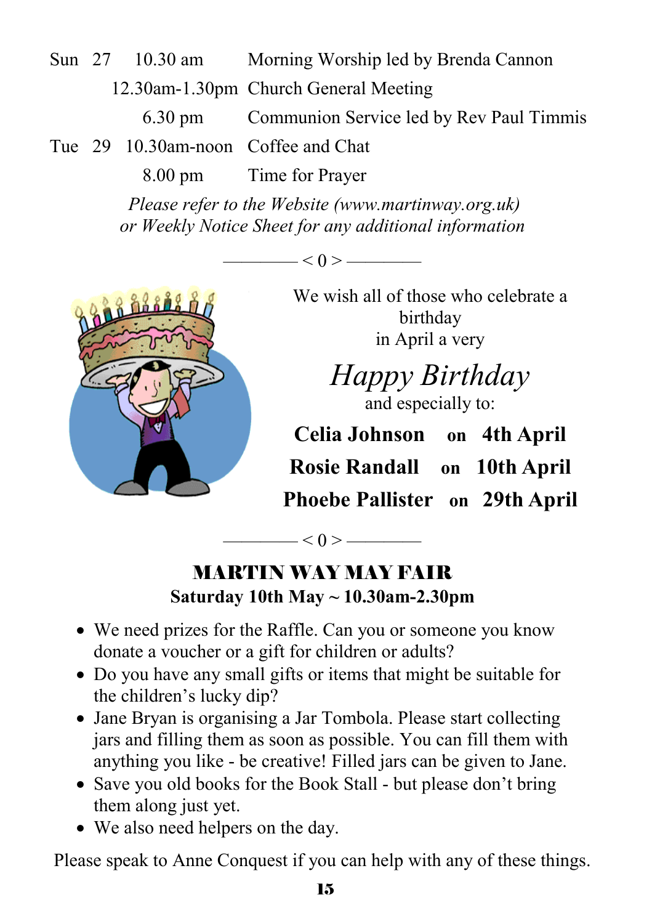Sun 27 10.30 am Morning Worship led by Brenda Cannon 12.30am-1.30pm Church General Meeting 6.30 pm Communion Service led by Rev Paul Timmis Tue 29 10.30am-noon Coffee and Chat

8.00 pm Time for Prayer

*Please refer to the Website (www.martinway.org.uk) or Weekly Notice Sheet for any additional information* 

 $-$  < 0 >  $-$ 



We wish all of those who celebrate a birthday in April a very

*Happy Birthday*  and especially to:

**Celia Johnson on 4th April Rosie Randall on 10th April Phoebe Pallister on 29th April**

 $\qquad$   $\qquad$   $\qquad$   $\qquad$   $\qquad$   $\qquad$   $\qquad$   $\qquad$   $\qquad$   $\qquad$   $\qquad$   $\qquad$   $\qquad$   $\qquad$   $\qquad$   $\qquad$   $\qquad$   $\qquad$   $\qquad$   $\qquad$   $\qquad$   $\qquad$   $\qquad$   $\qquad$   $\qquad$   $\qquad$   $\qquad$   $\qquad$   $\qquad$   $\qquad$   $\qquad$   $\qquad$   $\qquad$   $\qquad$   $\qquad$   $\qquad$   $\qquad$ 

## MARTIN WAY MAY FAIR **Saturday 10th May ~ 10.30am-2.30pm**

- We need prizes for the Raffle. Can you or someone you know donate a voucher or a gift for children or adults?
- Do you have any small gifts or items that might be suitable for the children's lucky dip?
- Jane Bryan is organising a Jar Tombola. Please start collecting jars and filling them as soon as possible. You can fill them with anything you like - be creative! Filled jars can be given to Jane.
- Save you old books for the Book Stall but please don't bring them along just yet.
- We also need helpers on the day.

Please speak to Anne Conquest if you can help with any of these things.